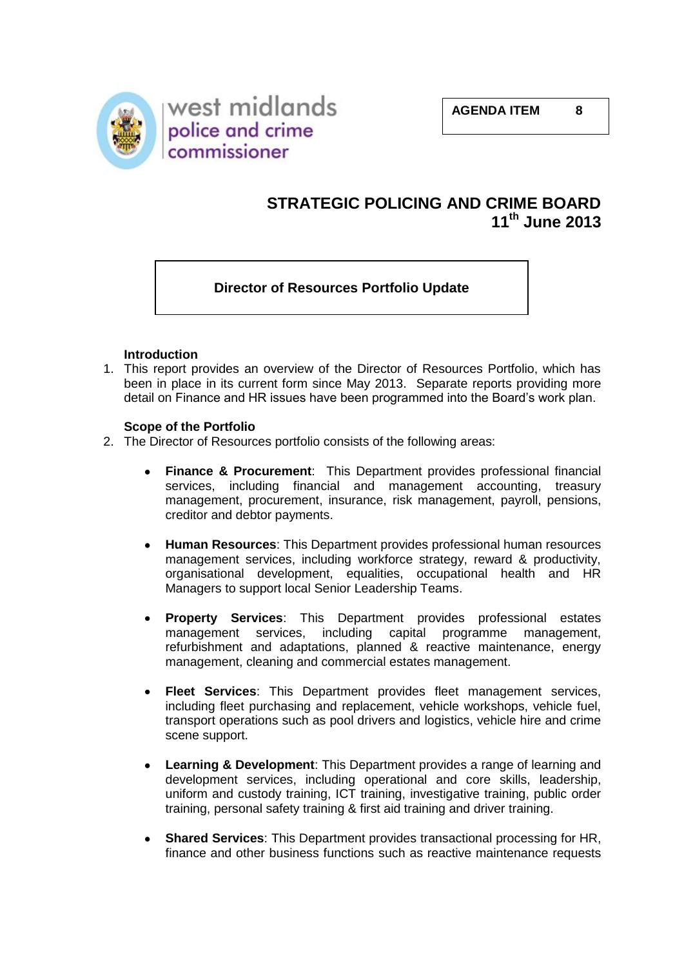

# **STRATEGIC POLICING AND CRIME BOARD 11th June 2013**

## **Director of Resources Portfolio Update**

#### **Introduction**

1. This report provides an overview of the Director of Resources Portfolio, which has been in place in its current form since May 2013. Separate reports providing more detail on Finance and HR issues have been programmed into the Board's work plan.

#### **Scope of the Portfolio**

- 2. The Director of Resources portfolio consists of the following areas:
	- **Finance & Procurement**: This Department provides professional financial  $\bullet$ services, including financial and management accounting, treasury management, procurement, insurance, risk management, payroll, pensions, creditor and debtor payments.
	- **Human Resources**: This Department provides professional human resources management services, including workforce strategy, reward & productivity, organisational development, equalities, occupational health and HR Managers to support local Senior Leadership Teams.
	- **Property Services**: This Department provides professional estates management services, including capital programme management, refurbishment and adaptations, planned & reactive maintenance, energy management, cleaning and commercial estates management.
	- **Fleet Services**: This Department provides fleet management services, including fleet purchasing and replacement, vehicle workshops, vehicle fuel, transport operations such as pool drivers and logistics, vehicle hire and crime scene support.
	- **Learning & Development**: This Department provides a range of learning and development services, including operational and core skills, leadership, uniform and custody training, ICT training, investigative training, public order training, personal safety training & first aid training and driver training.
	- **Shared Services**: This Department provides transactional processing for HR, finance and other business functions such as reactive maintenance requests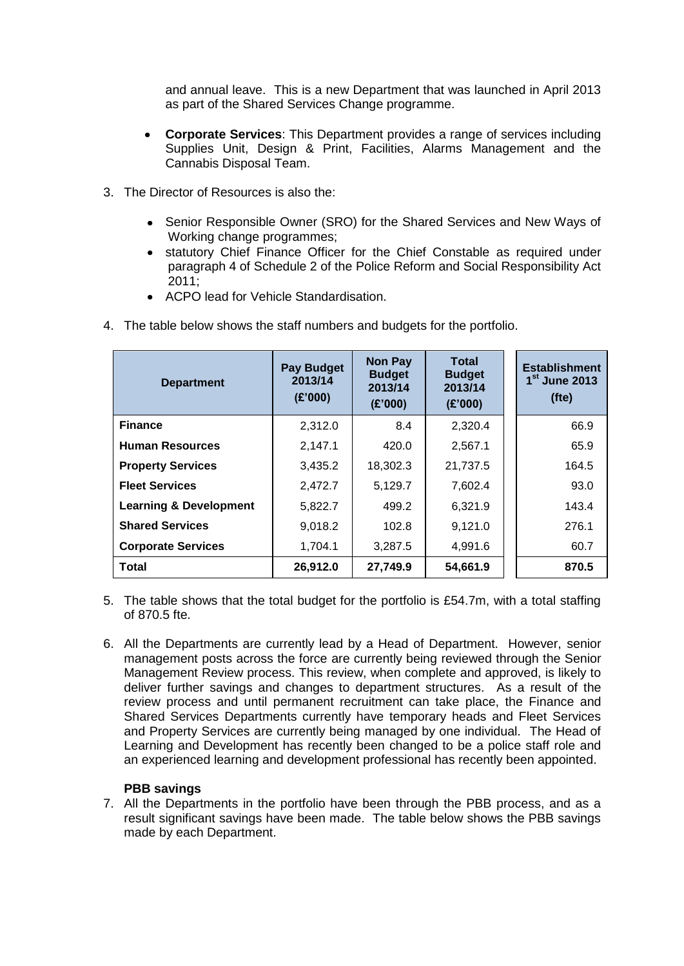and annual leave. This is a new Department that was launched in April 2013 as part of the Shared Services Change programme.

- **Corporate Services**: This Department provides a range of services including Supplies Unit, Design & Print, Facilities, Alarms Management and the Cannabis Disposal Team.
- 3. The Director of Resources is also the:
	- Senior Responsible Owner (SRO) for the Shared Services and New Ways of Working change programmes;
	- statutory Chief Finance Officer for the Chief Constable as required under paragraph 4 of Schedule 2 of the Police Reform and Social Responsibility Act 2011;
	- ACPO lead for Vehicle Standardisation.

| <b>Department</b>                 | <b>Pay Budget</b><br>2013/14<br>(E'000) | <b>Non Pay</b><br><b>Budget</b><br>2013/14<br>(E'000) | <b>Total</b><br><b>Budget</b><br>2013/14<br>(E'000) | <b>Establishment</b><br>1 <sup>st</sup> June 2013<br>(fte) |
|-----------------------------------|-----------------------------------------|-------------------------------------------------------|-----------------------------------------------------|------------------------------------------------------------|
| <b>Finance</b>                    | 2,312.0                                 | 8.4                                                   | 2,320.4                                             | 66.9                                                       |
| <b>Human Resources</b>            | 2,147.1                                 | 420.0                                                 | 2,567.1                                             | 65.9                                                       |
| <b>Property Services</b>          | 3,435.2                                 | 18,302.3                                              | 21,737.5                                            | 164.5                                                      |
| <b>Fleet Services</b>             | 2,472.7                                 | 5,129.7                                               | 7,602.4                                             | 93.0                                                       |
| <b>Learning &amp; Development</b> | 5,822.7                                 | 499.2                                                 | 6,321.9                                             | 143.4                                                      |
| <b>Shared Services</b>            | 9,018.2                                 | 102.8                                                 | 9,121.0                                             | 276.1                                                      |
| <b>Corporate Services</b>         | 1,704.1                                 | 3,287.5                                               | 4,991.6                                             | 60.7                                                       |
| Total                             | 26,912.0                                | 27,749.9                                              | 54,661.9                                            | 870.5                                                      |

4. The table below shows the staff numbers and budgets for the portfolio.

- 5. The table shows that the total budget for the portfolio is £54.7m, with a total staffing of 870.5 fte.
- 6. All the Departments are currently lead by a Head of Department. However, senior management posts across the force are currently being reviewed through the Senior Management Review process. This review, when complete and approved, is likely to deliver further savings and changes to department structures. As a result of the review process and until permanent recruitment can take place, the Finance and Shared Services Departments currently have temporary heads and Fleet Services and Property Services are currently being managed by one individual. The Head of Learning and Development has recently been changed to be a police staff role and an experienced learning and development professional has recently been appointed.

#### **PBB savings**

7. All the Departments in the portfolio have been through the PBB process, and as a result significant savings have been made. The table below shows the PBB savings made by each Department.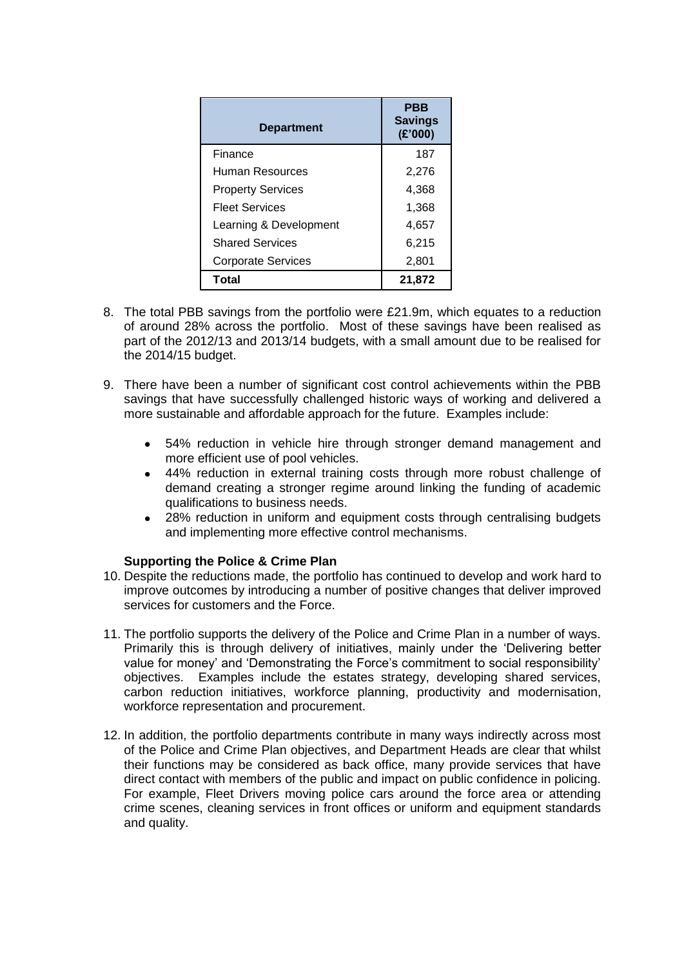| <b>Department</b>         | PBB<br><b>Savings</b><br>(E'000) |
|---------------------------|----------------------------------|
| Finance                   | 187                              |
| Human Resources           | 2,276                            |
| <b>Property Services</b>  | 4,368                            |
| <b>Fleet Services</b>     | 1,368                            |
| Learning & Development    | 4,657                            |
| <b>Shared Services</b>    | 6,215                            |
| <b>Corporate Services</b> | 2,801                            |
| Total                     | 21,872                           |

- 8. The total PBB savings from the portfolio were £21.9m, which equates to a reduction of around 28% across the portfolio. Most of these savings have been realised as part of the 2012/13 and 2013/14 budgets, with a small amount due to be realised for the 2014/15 budget.
- 9. There have been a number of significant cost control achievements within the PBB savings that have successfully challenged historic ways of working and delivered a more sustainable and affordable approach for the future. Examples include:
	- 54% reduction in vehicle hire through stronger demand management and more efficient use of pool vehicles.
	- 44% reduction in external training costs through more robust challenge of demand creating a stronger regime around linking the funding of academic qualifications to business needs.
	- 28% reduction in uniform and equipment costs through centralising budgets and implementing more effective control mechanisms.

#### **Supporting the Police & Crime Plan**

- 10. Despite the reductions made, the portfolio has continued to develop and work hard to improve outcomes by introducing a number of positive changes that deliver improved services for customers and the Force.
- 11. The portfolio supports the delivery of the Police and Crime Plan in a number of ways. Primarily this is through delivery of initiatives, mainly under the 'Delivering better value for money' and 'Demonstrating the Force's commitment to social responsibility' objectives. Examples include the estates strategy, developing shared services, carbon reduction initiatives, workforce planning, productivity and modernisation, workforce representation and procurement.
- 12. In addition, the portfolio departments contribute in many ways indirectly across most of the Police and Crime Plan objectives, and Department Heads are clear that whilst their functions may be considered as back office, many provide services that have direct contact with members of the public and impact on public confidence in policing. For example, Fleet Drivers moving police cars around the force area or attending crime scenes, cleaning services in front offices or uniform and equipment standards and quality.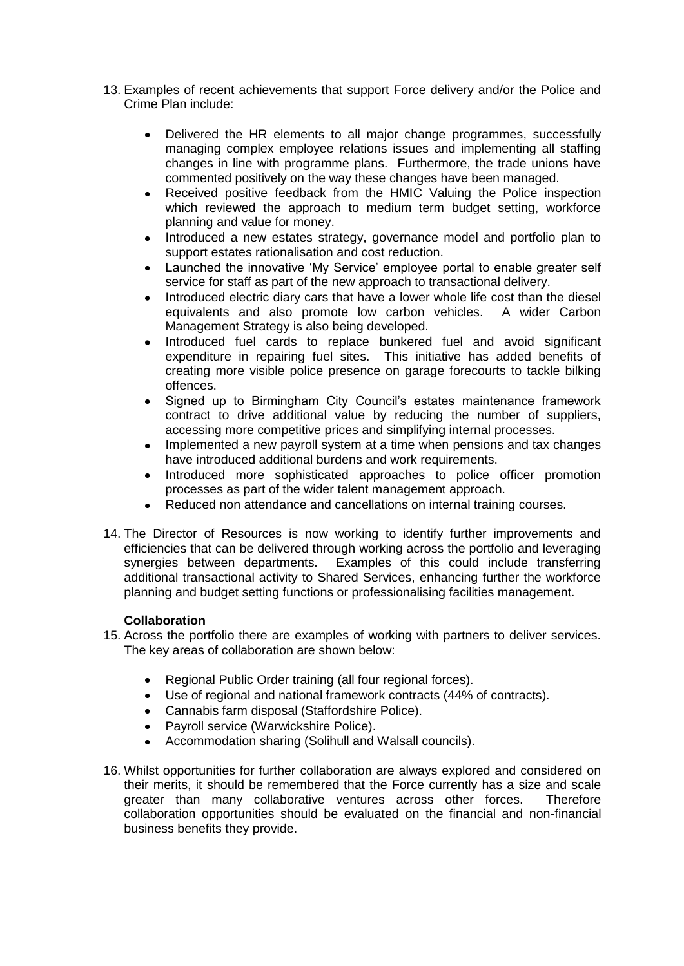- 13. Examples of recent achievements that support Force delivery and/or the Police and Crime Plan include:
	- Delivered the HR elements to all major change programmes, successfully  $\bullet$ managing complex employee relations issues and implementing all staffing changes in line with programme plans. Furthermore, the trade unions have commented positively on the way these changes have been managed.
	- Received positive feedback from the HMIC Valuing the Police inspection  $\bullet$ which reviewed the approach to medium term budget setting, workforce planning and value for money.
	- Introduced a new estates strategy, governance model and portfolio plan to support estates rationalisation and cost reduction.
	- Launched the innovative 'My Service' employee portal to enable greater self service for staff as part of the new approach to transactional delivery.
	- Introduced electric diary cars that have a lower whole life cost than the diesel  $\bullet$ equivalents and also promote low carbon vehicles. A wider Carbon Management Strategy is also being developed.
	- Introduced fuel cards to replace bunkered fuel and avoid significant expenditure in repairing fuel sites. This initiative has added benefits of creating more visible police presence on garage forecourts to tackle bilking offences.
	- Signed up to Birmingham City Council's estates maintenance framework contract to drive additional value by reducing the number of suppliers, accessing more competitive prices and simplifying internal processes.
	- Implemented a new payroll system at a time when pensions and tax changes have introduced additional burdens and work requirements.
	- Introduced more sophisticated approaches to police officer promotion processes as part of the wider talent management approach.
	- Reduced non attendance and cancellations on internal training courses.
- 14. The Director of Resources is now working to identify further improvements and efficiencies that can be delivered through working across the portfolio and leveraging synergies between departments. Examples of this could include transferring additional transactional activity to Shared Services, enhancing further the workforce planning and budget setting functions or professionalising facilities management.

#### **Collaboration**

- 15. Across the portfolio there are examples of working with partners to deliver services. The key areas of collaboration are shown below:
	- Regional Public Order training (all four regional forces).  $\bullet$
	- Use of regional and national framework contracts (44% of contracts).
	- Cannabis farm disposal (Staffordshire Police).
	- Payroll service (Warwickshire Police).
	- Accommodation sharing (Solihull and Walsall councils).  $\bullet$
- 16. Whilst opportunities for further collaboration are always explored and considered on their merits, it should be remembered that the Force currently has a size and scale greater than many collaborative ventures across other forces. Therefore collaboration opportunities should be evaluated on the financial and non-financial business benefits they provide.